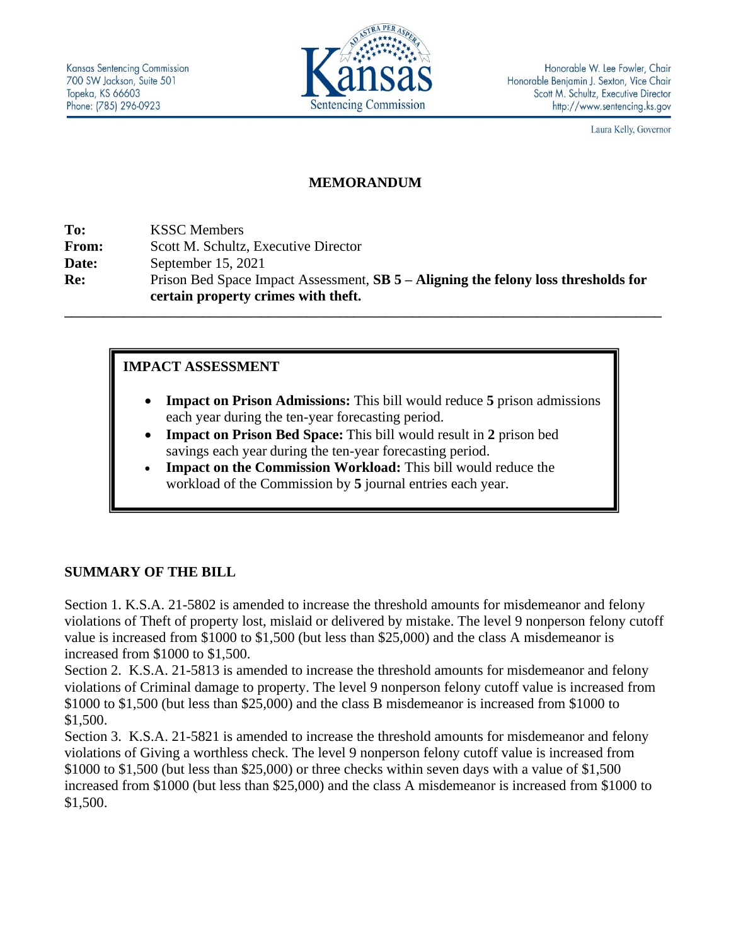

Laura Kelly, Governor

#### **MEMORANDUM**

**To:** KSSC Members **From:** Scott M. Schultz, Executive Director **Date:** September 15, 2021 **Re:** Prison Bed Space Impact Assessment, **SB 5 – Aligning the felony loss thresholds for certain property crimes with theft.**

**\_\_\_\_\_\_\_\_\_\_\_\_\_\_\_\_\_\_\_\_\_\_\_\_\_\_\_\_\_\_\_\_\_\_\_\_\_\_\_\_\_\_\_\_\_\_\_\_\_\_\_\_\_\_\_\_\_\_\_\_\_\_\_\_\_\_\_\_\_\_\_\_\_\_\_\_\_\_\_\_\_\_\_\_\_\_\_\_\_\_\_**

### **IMPACT ASSESSMENT**

- **Impact on Prison Admissions:** This bill would reduce **5** prison admissions each year during the ten-year forecasting period.
- **Impact on Prison Bed Space:** This bill would result in **2** prison bed savings each year during the ten-year forecasting period.
- **Impact on the Commission Workload:** This bill would reduce the workload of the Commission by **5** journal entries each year.

### **SUMMARY OF THE BILL**

Section 1. K.S.A. 21-5802 is amended to increase the threshold amounts for misdemeanor and felony violations of Theft of property lost, mislaid or delivered by mistake. The level 9 nonperson felony cutoff value is increased from \$1000 to \$1,500 (but less than \$25,000) and the class A misdemeanor is increased from \$1000 to \$1,500.

Section 2. K.S.A. 21-5813 is amended to increase the threshold amounts for misdemeanor and felony violations of Criminal damage to property. The level 9 nonperson felony cutoff value is increased from \$1000 to \$1,500 (but less than \$25,000) and the class B misdemeanor is increased from \$1000 to \$1,500.

Section 3. K.S.A. 21-5821 is amended to increase the threshold amounts for misdemeanor and felony violations of Giving a worthless check. The level 9 nonperson felony cutoff value is increased from \$1000 to \$1,500 (but less than \$25,000) or three checks within seven days with a value of \$1,500 increased from \$1000 (but less than \$25,000) and the class A misdemeanor is increased from \$1000 to \$1,500.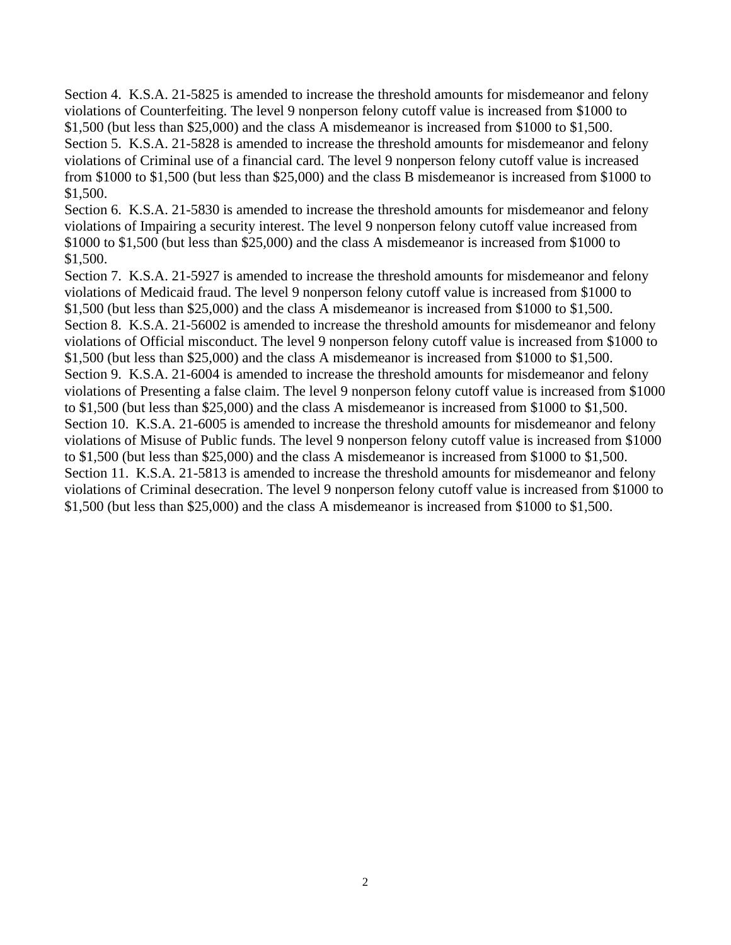Section 4. K.S.A. 21-5825 is amended to increase the threshold amounts for misdemeanor and felony violations of Counterfeiting. The level 9 nonperson felony cutoff value is increased from \$1000 to \$1,500 (but less than \$25,000) and the class A misdemeanor is increased from \$1000 to \$1,500. Section 5. K.S.A. 21-5828 is amended to increase the threshold amounts for misdemeanor and felony violations of Criminal use of a financial card. The level 9 nonperson felony cutoff value is increased from \$1000 to \$1,500 (but less than \$25,000) and the class B misdemeanor is increased from \$1000 to \$1,500.

Section 6. K.S.A. 21-5830 is amended to increase the threshold amounts for misdemeanor and felony violations of Impairing a security interest. The level 9 nonperson felony cutoff value increased from \$1000 to \$1,500 (but less than \$25,000) and the class A misdemeanor is increased from \$1000 to \$1,500.

Section 7. K.S.A. 21-5927 is amended to increase the threshold amounts for misdemeanor and felony violations of Medicaid fraud. The level 9 nonperson felony cutoff value is increased from \$1000 to \$1,500 (but less than \$25,000) and the class A misdemeanor is increased from \$1000 to \$1,500. Section 8. K.S.A. 21-56002 is amended to increase the threshold amounts for misdemeanor and felony violations of Official misconduct. The level 9 nonperson felony cutoff value is increased from \$1000 to \$1,500 (but less than \$25,000) and the class A misdemeanor is increased from \$1000 to \$1,500. Section 9. K.S.A. 21-6004 is amended to increase the threshold amounts for misdemeanor and felony violations of Presenting a false claim. The level 9 nonperson felony cutoff value is increased from \$1000 to \$1,500 (but less than \$25,000) and the class A misdemeanor is increased from \$1000 to \$1,500. Section 10. K.S.A. 21-6005 is amended to increase the threshold amounts for misdemeanor and felony violations of Misuse of Public funds. The level 9 nonperson felony cutoff value is increased from \$1000 to \$1,500 (but less than \$25,000) and the class A misdemeanor is increased from \$1000 to \$1,500. Section 11. K.S.A. 21-5813 is amended to increase the threshold amounts for misdemeanor and felony violations of Criminal desecration. The level 9 nonperson felony cutoff value is increased from \$1000 to \$1,500 (but less than \$25,000) and the class A misdemeanor is increased from \$1000 to \$1,500.